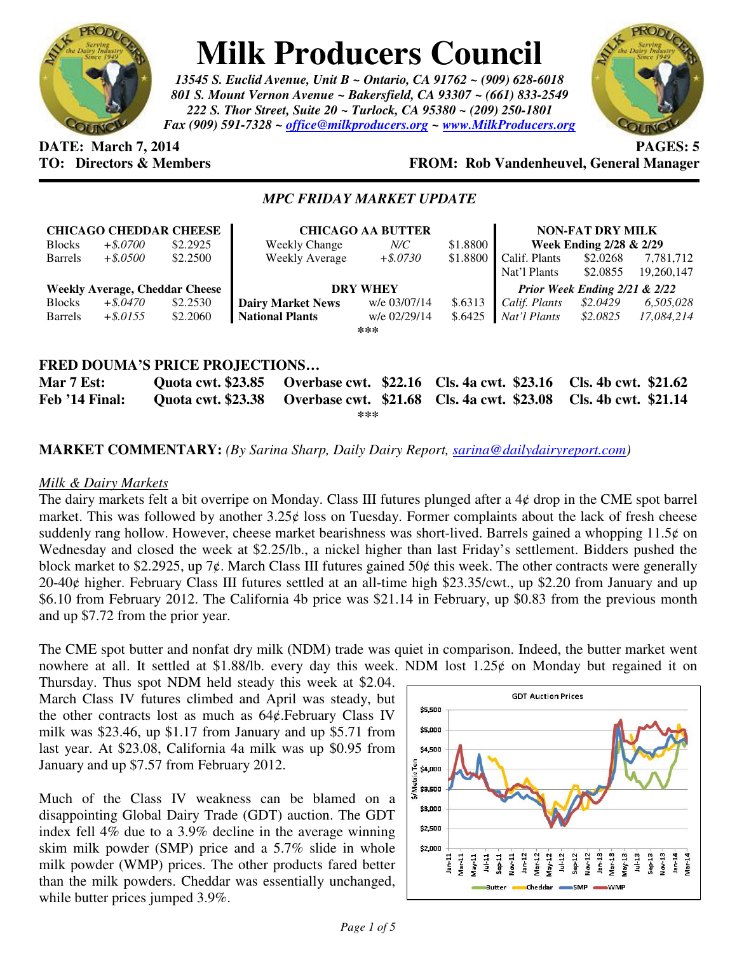

# **Milk Producers Council**

*13545 S. Euclid Avenue, Unit B ~ Ontario, CA 91762 ~ (909) 628-6018 801 S. Mount Vernon Avenue ~ Bakersfield, CA 93307 ~ (661) 833-2549 222 S. Thor Street, Suite 20 ~ Turlock, CA 95380 ~ (209) 250-1801 Fax (909) 591-7328 ~ office@milkproducers.org ~ www.MilkProducers.org*



## **DATE: March 7, 2014 PAGES: 5**

## **FROM: Rob Vandenheuvel, General Manager**

### *MPC FRIDAY MARKET UPDATE*

| <b>CHICAGO CHEDDAR CHEESE</b>         |             |          | <b>CHICAGO AA BUTTER</b> |              |          | <b>NON-FAT DRY MILK</b>       |          |            |
|---------------------------------------|-------------|----------|--------------------------|--------------|----------|-------------------------------|----------|------------|
| <b>Blocks</b>                         | $+$ \$.0700 | \$2.2925 | Weekly Change            | $N\!/\!C$    | \$1.8800 | Week Ending 2/28 & 2/29       |          |            |
| <b>Barrels</b>                        | $+$ \$.0500 | \$2.2500 | <b>Weekly Average</b>    | $+$ \$.0730  | \$1.8800 | Calif. Plants                 | \$2.0268 | 7,781,712  |
|                                       |             |          |                          |              |          | Nat'l Plants                  | \$2.0855 | 19,260,147 |
| <b>Weekly Average, Cheddar Cheese</b> |             |          | <b>DRY WHEY</b>          |              |          | Prior Week Ending 2/21 & 2/22 |          |            |
| <b>Blocks</b>                         | $+$ \$.0470 | \$2.2530 | <b>Dairy Market News</b> | w/e 03/07/14 | \$.6313  | Calif. Plants                 | \$2.0429 | 6,505,028  |
| <b>Barrels</b>                        | $+$ \$.0155 | \$2.2060 | <b>National Plants</b>   | w/e 02/29/14 | \$.6425  | Nat'l Plants                  | \$2.0825 | 17,084,214 |
| ***                                   |             |          |                          |              |          |                               |          |            |
|                                       |             |          |                          |              |          |                               |          |            |
| FRED DOUMA'S PRICE PROJECTIONS        |             |          |                          |              |          |                               |          |            |

#### **Mar 7 Est: Quota cwt. \$23.85 Overbase cwt. \$22.16 Cls. 4a cwt. \$23.16 Cls. 4b cwt. \$21.62 Feb '14 Final: Quota cwt. \$23.38 Overbase cwt. \$21.68 Cls. 4a cwt. \$23.08 Cls. 4b cwt. \$21.14 \*\*\***

#### **MARKET COMMENTARY:** *(By Sarina Sharp, Daily Dairy Report, sarina@dailydairyreport.com)*

#### *Milk & Dairy Markets*

The dairy markets felt a bit overripe on Monday. Class III futures plunged after a 4¢ drop in the CME spot barrel market. This was followed by another  $3.25¢$  loss on Tuesday. Former complaints about the lack of fresh cheese suddenly rang hollow. However, cheese market bearishness was short-lived. Barrels gained a whopping  $11.5¢$  on Wednesday and closed the week at \$2.25/lb., a nickel higher than last Friday's settlement. Bidders pushed the block market to \$2.2925, up 7¢. March Class III futures gained 50¢ this week. The other contracts were generally 20-40ȼ higher. February Class III futures settled at an all-time high \$23.35/cwt., up \$2.20 from January and up \$6.10 from February 2012. The California 4b price was \$21.14 in February, up \$0.83 from the previous month and up \$7.72 from the prior year.

The CME spot butter and nonfat dry milk (NDM) trade was quiet in comparison. Indeed, the butter market went nowhere at all. It settled at \$1.88/lb. every day this week. NDM lost 1.25 $\phi$  on Monday but regained it on

Thursday. Thus spot NDM held steady this week at \$2.04. March Class IV futures climbed and April was steady, but the other contracts lost as much as  $64¢$ . February Class IV milk was \$23.46, up \$1.17 from January and up \$5.71 from last year. At \$23.08, California 4a milk was up \$0.95 from January and up \$7.57 from February 2012.

Much of the Class IV weakness can be blamed on a disappointing Global Dairy Trade (GDT) auction. The GDT index fell 4% due to a 3.9% decline in the average winning skim milk powder (SMP) price and a 5.7% slide in whole milk powder (WMP) prices. The other products fared better than the milk powders. Cheddar was essentially unchanged, while butter prices jumped 3.9%.

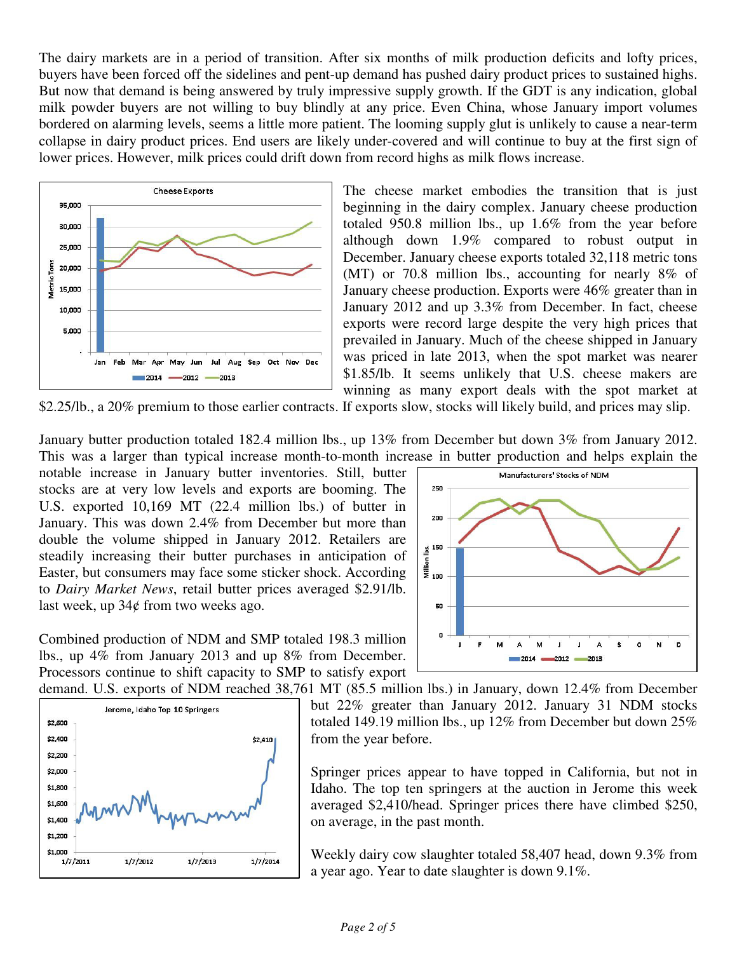The dairy markets are in a period of transition. After six months of milk production deficits and lofty prices, buyers have been forced off the sidelines and pent-up demand has pushed dairy product prices to sustained highs. But now that demand is being answered by truly impressive supply growth. If the GDT is any indication, global milk powder buyers are not willing to buy blindly at any price. Even China, whose January import volumes bordered on alarming levels, seems a little more patient. The looming supply glut is unlikely to cause a near-term collapse in dairy product prices. End users are likely under-covered and will continue to buy at the first sign of lower prices. However, milk prices could drift down from record highs as milk flows increase.



The cheese market embodies the transition that is just beginning in the dairy complex. January cheese production totaled 950.8 million lbs., up 1.6% from the year before although down 1.9% compared to robust output in December. January cheese exports totaled 32,118 metric tons (MT) or 70.8 million lbs., accounting for nearly 8% of January cheese production. Exports were 46% greater than in January 2012 and up 3.3% from December. In fact, cheese exports were record large despite the very high prices that prevailed in January. Much of the cheese shipped in January was priced in late 2013, when the spot market was nearer \$1.85/lb. It seems unlikely that U.S. cheese makers are winning as many export deals with the spot market at

\$2.25/lb., a 20% premium to those earlier contracts. If exports slow, stocks will likely build, and prices may slip.

January butter production totaled 182.4 million lbs., up 13% from December but down 3% from January 2012. This was a larger than typical increase month-to-month increase in butter production and helps explain the

notable increase in January butter inventories. Still, butter stocks are at very low levels and exports are booming. The U.S. exported 10,169 MT (22.4 million lbs.) of butter in January. This was down 2.4% from December but more than double the volume shipped in January 2012. Retailers are steadily increasing their butter purchases in anticipation of Easter, but consumers may face some sticker shock. According to *Dairy Market News*, retail butter prices averaged \$2.91/lb. last week, up  $34¢$  from two weeks ago.

250 200  $\frac{3}{4}$  150 50  $\mathbf{a}$  $\mathbf{J}$ N D 2012 2013  $2014$ 

Manufacturers' Stocks of NDM

Combined production of NDM and SMP totaled 198.3 million lbs., up 4% from January 2013 and up 8% from December. Processors continue to shift capacity to SMP to satisfy export



demand. U.S. exports of NDM reached 38,761 MT (85.5 million lbs.) in January, down 12.4% from December but 22% greater than January 2012. January 31 NDM stocks totaled 149.19 million lbs., up 12% from December but down 25% from the year before.

> Springer prices appear to have topped in California, but not in Idaho. The top ten springers at the auction in Jerome this week averaged \$2,410/head. Springer prices there have climbed \$250, on average, in the past month.

> Weekly dairy cow slaughter totaled 58,407 head, down 9.3% from a year ago. Year to date slaughter is down 9.1%.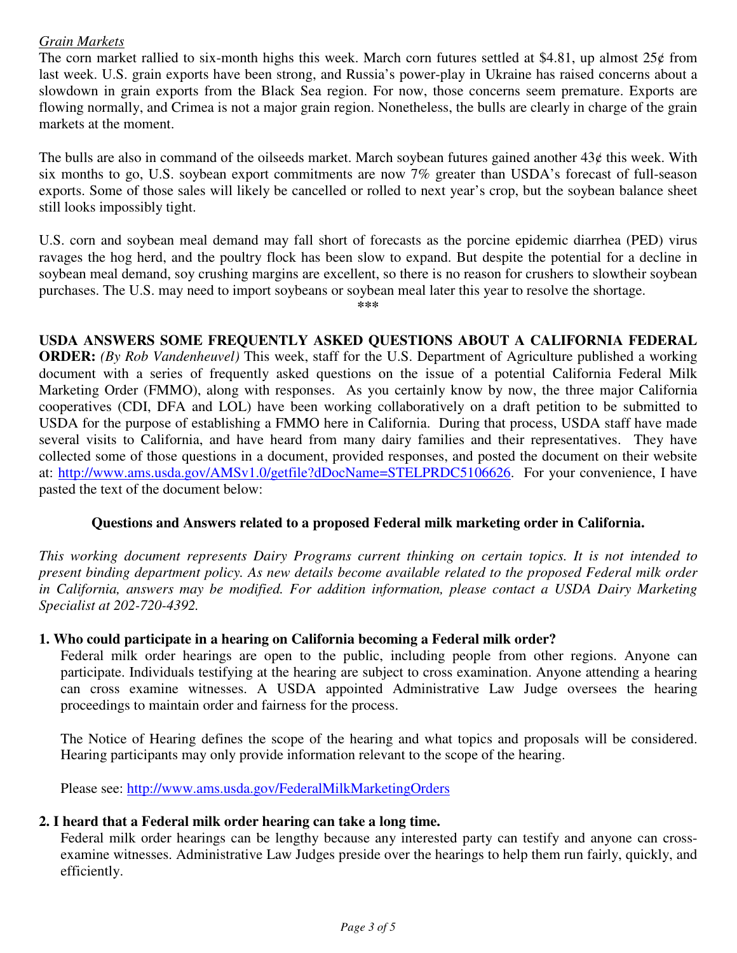#### *Grain Markets*

The corn market rallied to six-month highs this week. March corn futures settled at \$4.81, up almost  $25¢$  from last week. U.S. grain exports have been strong, and Russia's power-play in Ukraine has raised concerns about a slowdown in grain exports from the Black Sea region. For now, those concerns seem premature. Exports are flowing normally, and Crimea is not a major grain region. Nonetheless, the bulls are clearly in charge of the grain markets at the moment.

The bulls are also in command of the oilseeds market. March soybean futures gained another  $43¢$  this week. With six months to go, U.S. soybean export commitments are now 7% greater than USDA's forecast of full-season exports. Some of those sales will likely be cancelled or rolled to next year's crop, but the soybean balance sheet still looks impossibly tight.

U.S. corn and soybean meal demand may fall short of forecasts as the porcine epidemic diarrhea (PED) virus ravages the hog herd, and the poultry flock has been slow to expand. But despite the potential for a decline in soybean meal demand, soy crushing margins are excellent, so there is no reason for crushers to slowtheir soybean purchases. The U.S. may need to import soybeans or soybean meal later this year to resolve the shortage.

**\*\*\*** 

## **USDA ANSWERS SOME FREQUENTLY ASKED QUESTIONS ABOUT A CALIFORNIA FEDERAL**

**ORDER:** *(By Rob Vandenheuvel)* This week, staff for the U.S. Department of Agriculture published a working document with a series of frequently asked questions on the issue of a potential California Federal Milk Marketing Order (FMMO), along with responses. As you certainly know by now, the three major California cooperatives (CDI, DFA and LOL) have been working collaboratively on a draft petition to be submitted to USDA for the purpose of establishing a FMMO here in California. During that process, USDA staff have made several visits to California, and have heard from many dairy families and their representatives. They have collected some of those questions in a document, provided responses, and posted the document on their website at: http://www.ams.usda.gov/AMSv1.0/getfile?dDocName=STELPRDC5106626. For your convenience, I have pasted the text of the document below:

## **Questions and Answers related to a proposed Federal milk marketing order in California.**

*This working document represents Dairy Programs current thinking on certain topics. It is not intended to present binding department policy. As new details become available related to the proposed Federal milk order in California, answers may be modified. For addition information, please contact a USDA Dairy Marketing Specialist at 202-720-4392.* 

## **1. Who could participate in a hearing on California becoming a Federal milk order?**

Federal milk order hearings are open to the public, including people from other regions. Anyone can participate. Individuals testifying at the hearing are subject to cross examination. Anyone attending a hearing can cross examine witnesses. A USDA appointed Administrative Law Judge oversees the hearing proceedings to maintain order and fairness for the process.

The Notice of Hearing defines the scope of the hearing and what topics and proposals will be considered. Hearing participants may only provide information relevant to the scope of the hearing.

Please see: http://www.ams.usda.gov/FederalMilkMarketingOrders

## **2. I heard that a Federal milk order hearing can take a long time.**

Federal milk order hearings can be lengthy because any interested party can testify and anyone can crossexamine witnesses. Administrative Law Judges preside over the hearings to help them run fairly, quickly, and efficiently.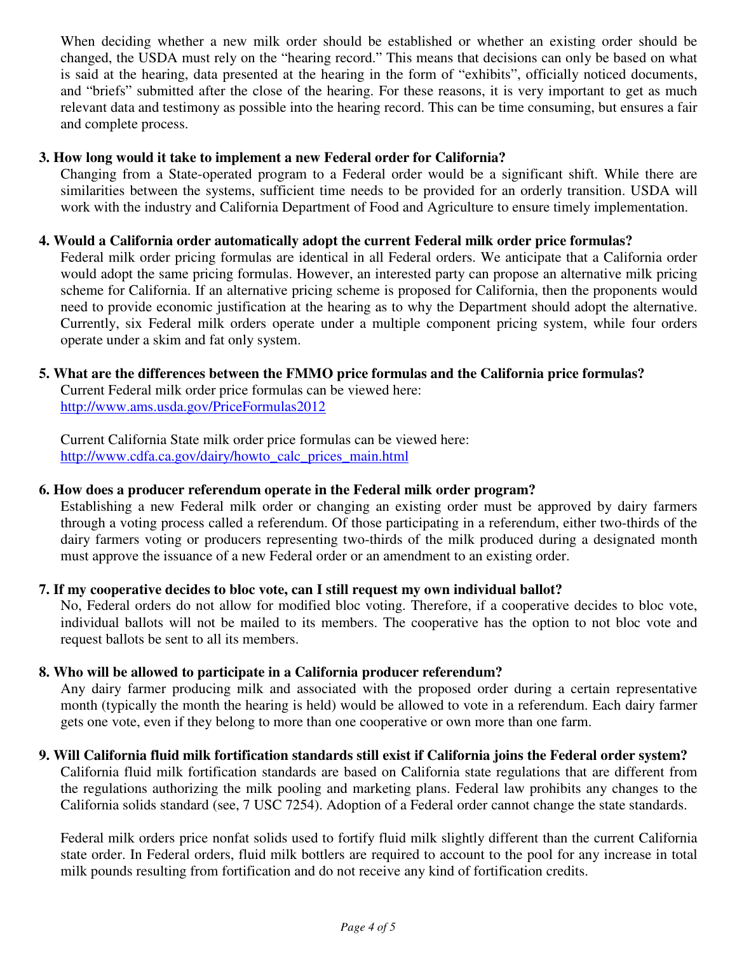When deciding whether a new milk order should be established or whether an existing order should be changed, the USDA must rely on the "hearing record." This means that decisions can only be based on what is said at the hearing, data presented at the hearing in the form of "exhibits", officially noticed documents, and "briefs" submitted after the close of the hearing. For these reasons, it is very important to get as much relevant data and testimony as possible into the hearing record. This can be time consuming, but ensures a fair and complete process.

#### **3. How long would it take to implement a new Federal order for California?**

Changing from a State-operated program to a Federal order would be a significant shift. While there are similarities between the systems, sufficient time needs to be provided for an orderly transition. USDA will work with the industry and California Department of Food and Agriculture to ensure timely implementation.

#### **4. Would a California order automatically adopt the current Federal milk order price formulas?**

Federal milk order pricing formulas are identical in all Federal orders. We anticipate that a California order would adopt the same pricing formulas. However, an interested party can propose an alternative milk pricing scheme for California. If an alternative pricing scheme is proposed for California, then the proponents would need to provide economic justification at the hearing as to why the Department should adopt the alternative. Currently, six Federal milk orders operate under a multiple component pricing system, while four orders operate under a skim and fat only system.

#### **5. What are the differences between the FMMO price formulas and the California price formulas?**

Current Federal milk order price formulas can be viewed here: http://www.ams.usda.gov/PriceFormulas2012

Current California State milk order price formulas can be viewed here: http://www.cdfa.ca.gov/dairy/howto\_calc\_prices\_main.html

#### **6. How does a producer referendum operate in the Federal milk order program?**

Establishing a new Federal milk order or changing an existing order must be approved by dairy farmers through a voting process called a referendum. Of those participating in a referendum, either two-thirds of the dairy farmers voting or producers representing two-thirds of the milk produced during a designated month must approve the issuance of a new Federal order or an amendment to an existing order.

## **7. If my cooperative decides to bloc vote, can I still request my own individual ballot?**

No, Federal orders do not allow for modified bloc voting. Therefore, if a cooperative decides to bloc vote, individual ballots will not be mailed to its members. The cooperative has the option to not bloc vote and request ballots be sent to all its members.

## **8. Who will be allowed to participate in a California producer referendum?**

Any dairy farmer producing milk and associated with the proposed order during a certain representative month (typically the month the hearing is held) would be allowed to vote in a referendum. Each dairy farmer gets one vote, even if they belong to more than one cooperative or own more than one farm.

## **9. Will California fluid milk fortification standards still exist if California joins the Federal order system?**

California fluid milk fortification standards are based on California state regulations that are different from the regulations authorizing the milk pooling and marketing plans. Federal law prohibits any changes to the California solids standard (see, 7 USC 7254). Adoption of a Federal order cannot change the state standards.

Federal milk orders price nonfat solids used to fortify fluid milk slightly different than the current California state order. In Federal orders, fluid milk bottlers are required to account to the pool for any increase in total milk pounds resulting from fortification and do not receive any kind of fortification credits.